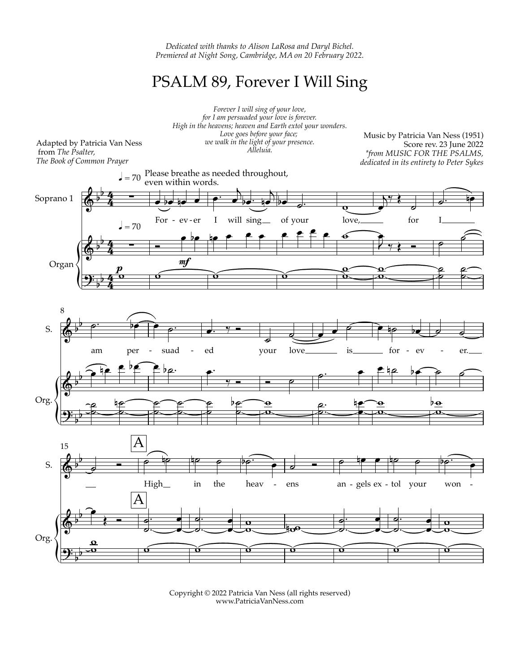*Dedicated with thanks to Alison LaRosa and Daryl Bichel. Premiered at Night Song, Cambridge, MA on 20 February 2022.*

## PSALM 89, Forever I Will Sing



Copyright © 2022 Patricia Van Ness (all rights reserved) www.PatriciaVanNess.com